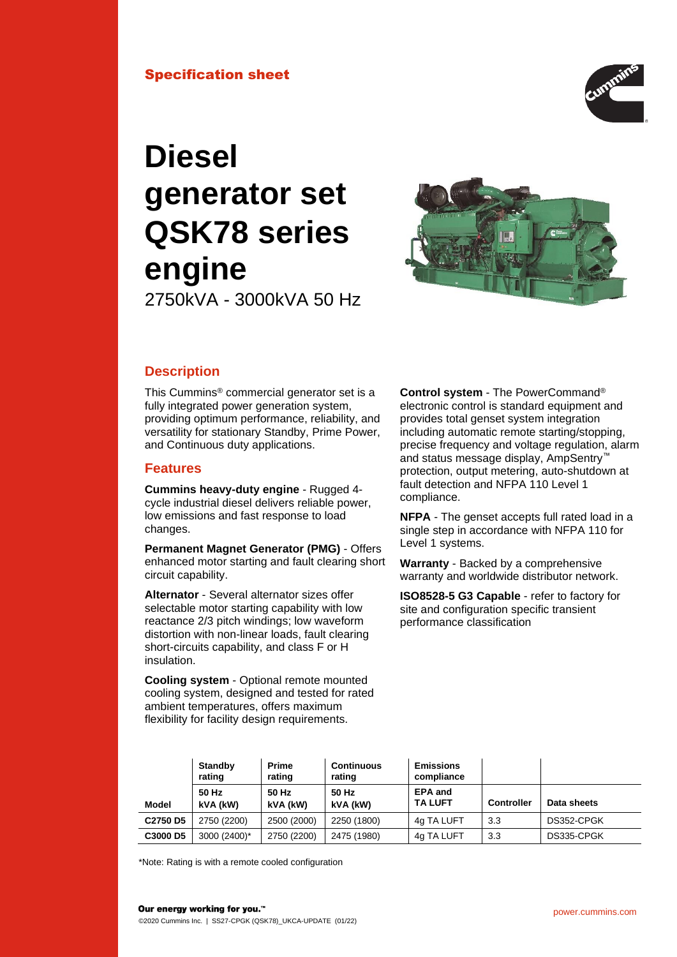

# **Diesel generator set QSK78 series engine**

2750kVA - 3000kVA 50 Hz



# **Description**

This Cummins® commercial generator set is a fully integrated power generation system, providing optimum performance, reliability, and versatility for stationary Standby, Prime Power, and Continuous duty applications.

# **Features**

**Cummins heavy-duty engine** - Rugged 4 cycle industrial diesel delivers reliable power, low emissions and fast response to load changes.

**Permanent Magnet Generator (PMG)** - Offers enhanced motor starting and fault clearing short circuit capability.

**Alternator** - Several alternator sizes offer selectable motor starting capability with low reactance 2/3 pitch windings; low waveform distortion with non-linear loads, fault clearing short-circuits capability, and class F or H insulation.

**Cooling system** - Optional remote mounted cooling system, designed and tested for rated ambient temperatures, offers maximum flexibility for facility design requirements.

**Control system** - The PowerCommand® electronic control is standard equipment and provides total genset system integration including automatic remote starting/stopping, precise frequency and voltage regulation, alarm and status message display, AmpSentry™ protection, output metering, auto-shutdown at fault detection and NFPA 110 Level 1 compliance.

**NFPA** - The genset accepts full rated load in a single step in accordance with NFPA 110 for Level 1 systems.

**Warranty** - Backed by a comprehensive warranty and worldwide distributor network.

**ISO8528-5 G3 Capable** - refer to factory for site and configuration specific transient performance classification

|                                  | Standby<br>rating | <b>Prime</b><br>rating | <b>Continuous</b><br>rating | <b>Emissions</b><br>compliance   |                   |             |
|----------------------------------|-------------------|------------------------|-----------------------------|----------------------------------|-------------------|-------------|
| Model                            | 50 Hz<br>kVA (kW) | 50 Hz<br>kVA (kW)      | 50 Hz<br>kVA (kW)           | <b>EPA and</b><br><b>TA LUFT</b> | <b>Controller</b> | Data sheets |
| C <sub>2750</sub> D <sub>5</sub> | 2750 (2200)       | 2500 (2000)            | 2250 (1800)                 | 4g TA LUFT                       | 3.3               | DS352-CPGK  |
| C3000 D5                         | 3000 (2400)*      | 2750 (2200)            | 2475 (1980)                 | 4g TA LUFT                       | 3.3               | DS335-CPGK  |

\*Note: Rating is with a remote cooled configuration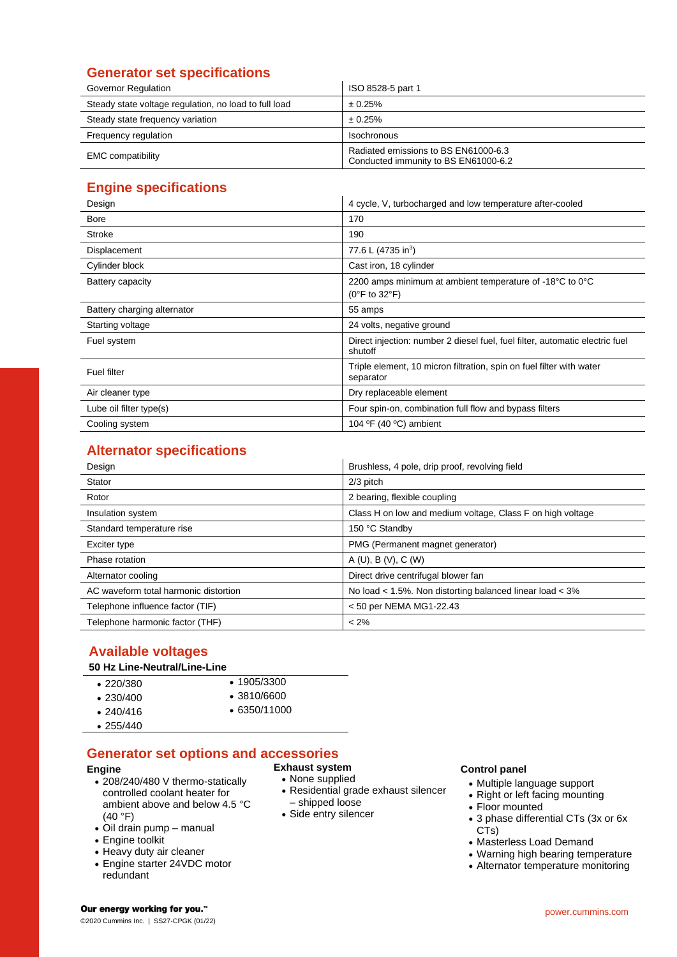# **Generator set specifications**

| Governor Regulation                                   | ISO 8528-5 part 1                                                            |
|-------------------------------------------------------|------------------------------------------------------------------------------|
| Steady state voltage regulation, no load to full load | $\pm 0.25\%$                                                                 |
| Steady state frequency variation                      | $\pm 0.25\%$                                                                 |
| Frequency regulation                                  | <b>Isochronous</b>                                                           |
| <b>EMC</b> compatibility                              | Radiated emissions to BS EN61000-6.3<br>Conducted immunity to BS EN61000-6.2 |

# **Engine specifications**

| Design                      | 4 cycle, V, turbocharged and low temperature after-cooled                                      |  |
|-----------------------------|------------------------------------------------------------------------------------------------|--|
| <b>Bore</b>                 | 170                                                                                            |  |
| Stroke                      | 190                                                                                            |  |
| Displacement                | 77.6 L (4735 in <sup>3</sup> )                                                                 |  |
| Cylinder block              | Cast iron, 18 cylinder                                                                         |  |
| Battery capacity            | 2200 amps minimum at ambient temperature of -18°C to 0°C<br>$(0^{\circ}$ F to 32 $^{\circ}$ F) |  |
| Battery charging alternator | 55 amps                                                                                        |  |
| Starting voltage            | 24 volts, negative ground                                                                      |  |
| Fuel system                 | Direct injection: number 2 diesel fuel, fuel filter, automatic electric fuel<br>shutoff        |  |
| <b>Fuel filter</b>          | Triple element, 10 micron filtration, spin on fuel filter with water<br>separator              |  |
| Air cleaner type            | Dry replaceable element                                                                        |  |
| Lube oil filter type(s)     | Four spin-on, combination full flow and bypass filters                                         |  |
| Cooling system              | 104 $\textdegree$ F (40 $\textdegree$ C) ambient                                               |  |

# **Alternator specifications**

| Design                                | Brushless, 4 pole, drip proof, revolving field             |  |
|---------------------------------------|------------------------------------------------------------|--|
| Stator                                | 2/3 pitch                                                  |  |
| Rotor                                 | 2 bearing, flexible coupling                               |  |
| Insulation system                     | Class H on low and medium voltage, Class F on high voltage |  |
| Standard temperature rise             | 150 °C Standby                                             |  |
| Exciter type                          | PMG (Permanent magnet generator)                           |  |
| Phase rotation                        | A (U), B (V), C (W)                                        |  |
| Alternator cooling                    | Direct drive centrifugal blower fan                        |  |
| AC waveform total harmonic distortion | No load < 1.5%. Non distorting balanced linear load < 3%   |  |
| Telephone influence factor (TIF)      | < 50 per NEMA MG1-22.43                                    |  |
| Telephone harmonic factor (THF)       | $< 2\%$                                                    |  |

# **Available voltages**

## **50 Hz Line-Neutral/Line-Line**

| $\cdot$ 220/380 | $\cdot$ 1905/3300  |
|-----------------|--------------------|
| $\cdot$ 230/400 | $\cdot$ 3810/6600  |
| $\cdot$ 240/416 | $\cdot$ 6350/11000 |

• 255/440

# **Generator set options and accessories**

#### **Engine**

- 208/240/480 V thermo-statically controlled coolant heater for ambient above and below 4.5 °C (40 °F)
- Oil drain pump manual
- Engine toolkit
- Heavy duty air cleaner
- Engine starter 24VDC motor redundant

# **Exhaust system**

- None supplied
- Residential grade exhaust silencer – shipped loose
- Side entry silencer

## **Control panel**

- Multiple language support
- Right or left facing mounting
- Floor mounted
- 3 phase differential CTs (3x or 6x CTs)
- Masterless Load Demand
- Warning high bearing temperature • Alternator temperature monitoring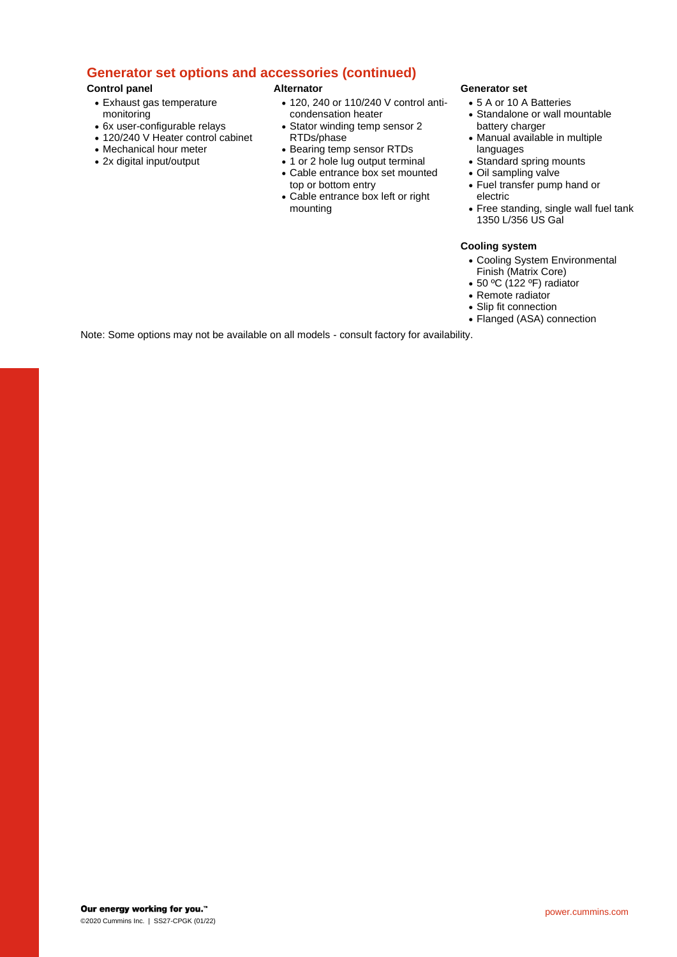# **Generator set options and accessories (continued)**

## **Control panel**

- Exhaust gas temperature monitoring
- 6x user-configurable relays
- 120/240 V Heater control cabinet
- Mechanical hour meter
- 2x digital input/output

### **Alternator**

- 120, 240 or 110/240 V control anticondensation heater
- Stator winding temp sensor 2 RTDs/phase
- Bearing temp sensor RTDs
- 1 or 2 hole lug output terminal
- Cable entrance box set mounted top or bottom entry
- Cable entrance box left or right mounting

#### **Generator set**

- 5 A or 10 A Batteries
- Standalone or wall mountable battery charger
- Manual available in multiple languages
- Standard spring mounts
- Oil sampling valve
- Fuel transfer pump hand or electric
- Free standing, single wall fuel tank 1350 L/356 US Gal

## **Cooling system**

- Cooling System Environmental Finish (Matrix Core)
- 50 ºC (122 ºF) radiator
- Remote radiator
- Slip fit connection
- Flanged (ASA) connection

Note: Some options may not be available on all models - consult factory for availability.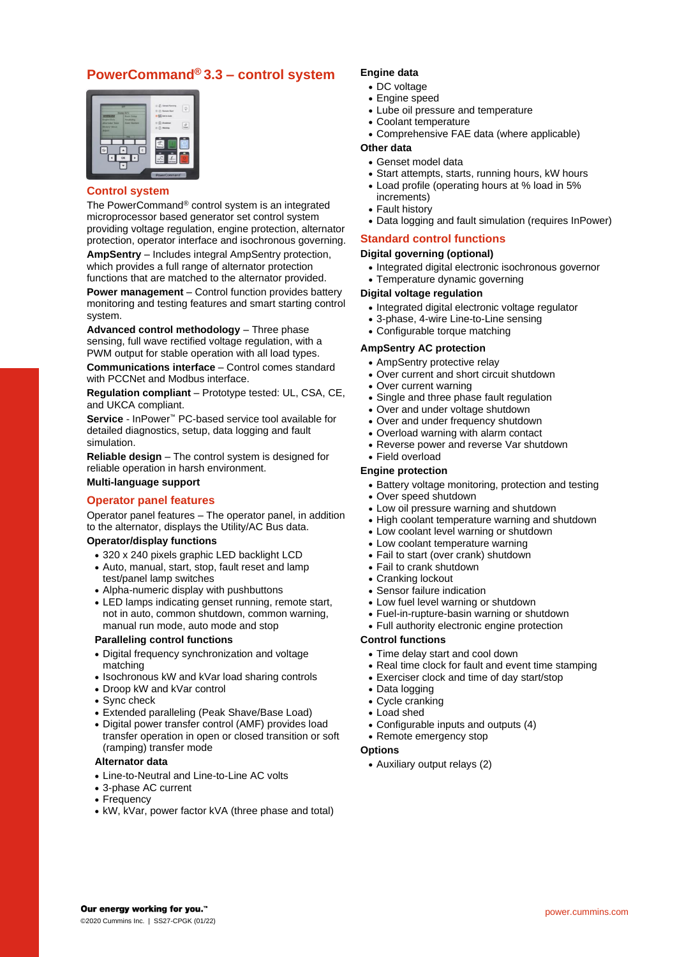# **PowerCommand® 3.3 – control system**



## **Control system**

The PowerCommand® control system is an integrated microprocessor based generator set control system providing voltage regulation, engine protection, alternator protection, operator interface and isochronous governing. **AmpSentry** – Includes integral AmpSentry protection, which provides a full range of alternator protection functions that are matched to the alternator provided. **Power management** – Control function provides battery monitoring and testing features and smart starting control system.

**Advanced control methodology** – Three phase sensing, full wave rectified voltage regulation, with a PWM output for stable operation with all load types.

**Communications interface** – Control comes standard with PCCNet and Modbus interface.

**Regulation compliant** – Prototype tested: UL, CSA, CE, and UKCA compliant.

**Service** - InPower™ PC-based service tool available for detailed diagnostics, setup, data logging and fault simulation.

**Reliable design** – The control system is designed for reliable operation in harsh environment. **Multi-language support**

# **Operator panel features**

Operator panel features – The operator panel, in addition to the alternator, displays the Utility/AC Bus data.

#### **Operator/display functions**

- 320 x 240 pixels graphic LED backlight LCD
- Auto, manual, start, stop, fault reset and lamp test/panel lamp switches
- Alpha-numeric display with pushbuttons
- LED lamps indicating genset running, remote start, not in auto, common shutdown, common warning, manual run mode, auto mode and stop

#### **Paralleling control functions**

- Digital frequency synchronization and voltage matching
- Isochronous kW and kVar load sharing controls
- Droop kW and kVar control
- Sync check
- Extended paralleling (Peak Shave/Base Load)
- Digital power transfer control (AMF) provides load transfer operation in open or closed transition or soft (ramping) transfer mode

#### **Alternator data**

- Line-to-Neutral and Line-to-Line AC volts
- 3-phase AC current
- Frequency
- kW, kVar, power factor kVA (three phase and total)

## **Engine data**

- DC voltage
- Engine speed
- Lube oil pressure and temperature
- Coolant temperature
- Comprehensive FAE data (where applicable)

#### **Other data**

- Genset model data
- Start attempts, starts, running hours, kW hours
- Load profile (operating hours at % load in 5% increments)
- Fault history
- Data logging and fault simulation (requires InPower)

## **Standard control functions**

## **Digital governing (optional)**

- Integrated digital electronic isochronous governor
- Temperature dynamic governing

#### **Digital voltage regulation**

- Integrated digital electronic voltage regulator
- 3-phase, 4-wire Line-to-Line sensing
- Configurable torque matching

#### **AmpSentry AC protection**

- AmpSentry protective relay
- Over current and short circuit shutdown
- Over current warning
- Single and three phase fault regulation
- Over and under voltage shutdown
- Over and under frequency shutdown
- Overload warning with alarm contact
- Reverse power and reverse Var shutdown

# • Field overload

## **Engine protection**

- Battery voltage monitoring, protection and testing
- Over speed shutdown
- Low oil pressure warning and shutdown
- High coolant temperature warning and shutdown
- Low coolant level warning or shutdown
- Low coolant temperature warning
- Fail to start (over crank) shutdown
- Fail to crank shutdown
- Cranking lockout
- Sensor failure indication
- Low fuel level warning or shutdown
- Fuel-in-rupture-basin warning or shutdown
- Full authority electronic engine protection

#### **Control functions**

- Time delay start and cool down
- Real time clock for fault and event time stamping
- Exerciser clock and time of day start/stop
- Data logging
- Cycle cranking
- Load shed
- Configurable inputs and outputs (4)
- Remote emergency stop

## **Options**

• Auxiliary output relays (2)